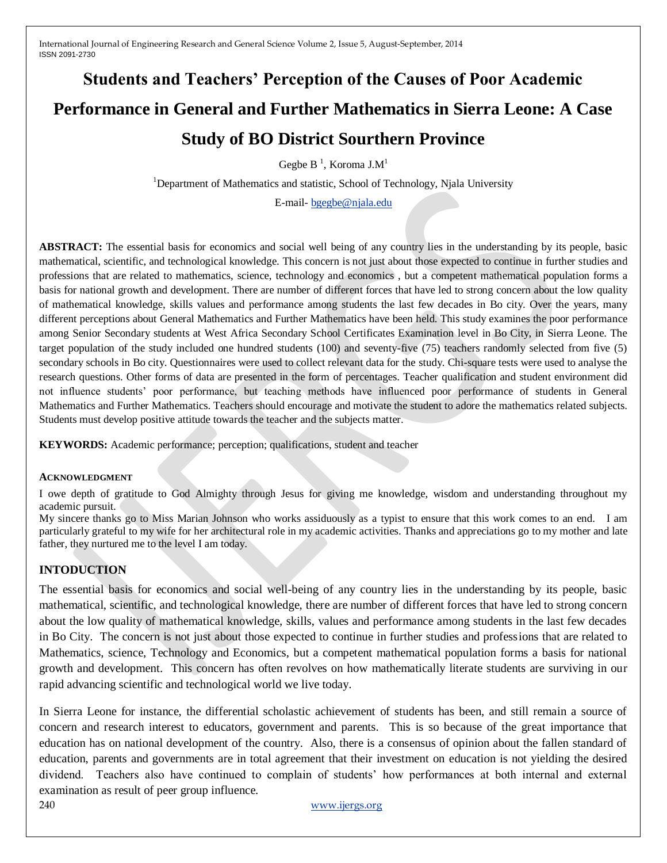# **Students and Teachers' Perception of the Causes of Poor Academic Performance in General and Further Mathematics in Sierra Leone: A Case Study of BO District Sourthern Province**

Gegbe B<sup>1</sup>, Koroma J.M<sup>1</sup>

<sup>1</sup>Department of Mathematics and statistic, School of Technology, Njala University

E-mail- [bgegbe@njala.edu](mailto:bgegbe@njala.edu)

**ABSTRACT:** The essential basis for economics and social well being of any country lies in the understanding by its people, basic mathematical, scientific, and technological knowledge. This concern is not just about those expected to continue in further studies and professions that are related to mathematics, science, technology and economics , but a competent mathematical population forms a basis for national growth and development. There are number of different forces that have led to strong concern about the low quality of mathematical knowledge, skills values and performance among students the last few decades in Bo city. Over the years, many different perceptions about General Mathematics and Further Mathematics have been held. This study examines the poor performance among Senior Secondary students at West Africa Secondary School Certificates Examination level in Bo City, in Sierra Leone. The target population of the study included one hundred students (100) and seventy-five (75) teachers randomly selected from five (5) secondary schools in Bo city. Questionnaires were used to collect relevant data for the study. Chi-square tests were used to analyse the research questions. Other forms of data are presented in the form of percentages. Teacher qualification and student environment did not influence students' poor performance, but teaching methods have influenced poor performance of students in General Mathematics and Further Mathematics. Teachers should encourage and motivate the student to adore the mathematics related subjects. Students must develop positive attitude towards the teacher and the subjects matter.

**KEYWORDS:** Academic performance; perception; qualifications, student and teacher

#### **ACKNOWLEDGMENT**

I owe depth of gratitude to God Almighty through Jesus for giving me knowledge, wisdom and understanding throughout my academic pursuit.

My sincere thanks go to Miss Marian Johnson who works assiduously as a typist to ensure that this work comes to an end. I am particularly grateful to my wife for her architectural role in my academic activities. Thanks and appreciations go to my mother and late father, they nurtured me to the level I am today.

#### **INTODUCTION**

The essential basis for economics and social well-being of any country lies in the understanding by its people, basic mathematical, scientific, and technological knowledge, there are number of different forces that have led to strong concern about the low quality of mathematical knowledge, skills, values and performance among students in the last few decades in Bo City. The concern is not just about those expected to continue in further studies and professions that are related to Mathematics, science, Technology and Economics, but a competent mathematical population forms a basis for national growth and development. This concern has often revolves on how mathematically literate students are surviving in our rapid advancing scientific and technological world we live today.

In Sierra Leone for instance, the differential scholastic achievement of students has been, and still remain a source of concern and research interest to educators, government and parents. This is so because of the great importance that education has on national development of the country. Also, there is a consensus of opinion about the fallen standard of education, parents and governments are in total agreement that their investment on education is not yielding the desired dividend. Teachers also have continued to complain of students' how performances at both internal and external examination as result of peer group influence.

240 [www.ijergs.org](http://www.ijergs.org/)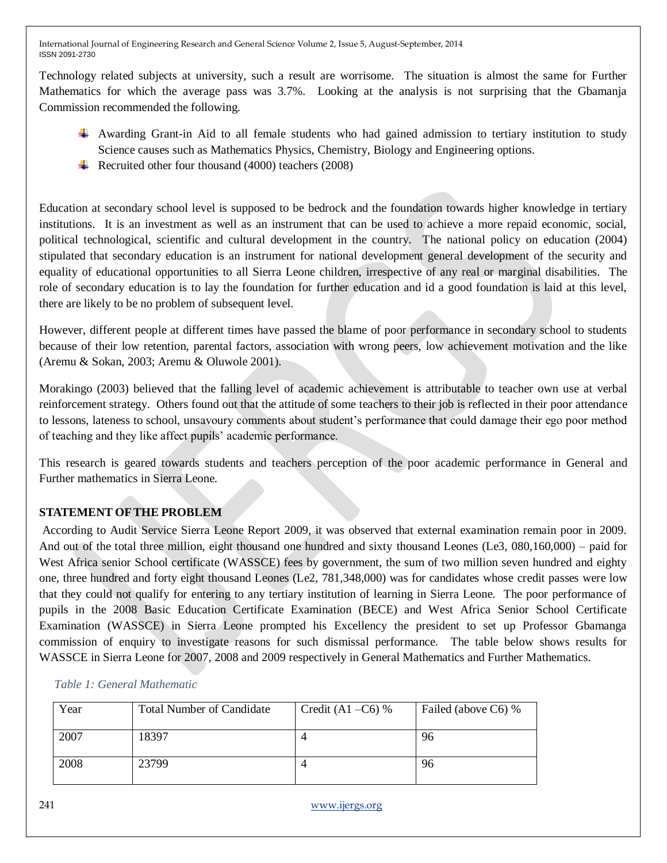Technology related subjects at university, such a result are worrisome. The situation is almost the same for Further Mathematics for which the average pass was 3.7%. Looking at the analysis is not surprising that the Gbamanja Commission recommended the following.

- Awarding Grant-in Aid to all female students who had gained admission to tertiary institution to study Science causes such as Mathematics Physics, Chemistry, Biology and Engineering options.
- Recruited other four thousand  $(4000)$  teachers  $(2008)$

Education at secondary school level is supposed to be bedrock and the foundation towards higher knowledge in tertiary institutions. It is an investment as well as an instrument that can be used to achieve a more repaid economic, social, political technological, scientific and cultural development in the country. The national policy on education (2004) stipulated that secondary education is an instrument for national development general development of the security and equality of educational opportunities to all Sierra Leone children, irrespective of any real or marginal disabilities. The role of secondary education is to lay the foundation for further education and id a good foundation is laid at this level, there are likely to be no problem of subsequent level.

However, different people at different times have passed the blame of poor performance in secondary school to students because of their low retention, parental factors, association with wrong peers, low achievement motivation and the like (Aremu & Sokan, 2003; Aremu & Oluwole 2001).

Morakingo (2003) believed that the falling level of academic achievement is attributable to teacher own use at verbal reinforcement strategy. Others found out that the attitude of some teachers to their job is reflected in their poor attendance to lessons, lateness to school, unsavoury comments about student's performance that could damage their ego poor method of teaching and they like affect pupils' academic performance.

This research is geared towards students and teachers perception of the poor academic performance in General and Further mathematics in Sierra Leone.

# **STATEMENT OFTHE PROBLEM**

According to Audit Service Sierra Leone Report 2009, it was observed that external examination remain poor in 2009. And out of the total three million, eight thousand one hundred and sixty thousand Leones (Le3, 080,160,000) – paid for West Africa senior School certificate (WASSCE) fees by government, the sum of two million seven hundred and eighty one, three hundred and forty eight thousand Leones (Le2, 781,348,000) was for candidates whose credit passes were low that they could not qualify for entering to any tertiary institution of learning in Sierra Leone. The poor performance of pupils in the 2008 Basic Education Certificate Examination (BECE) and West Africa Senior School Certificate Examination (WASSCE) in Sierra Leone prompted his Excellency the president to set up Professor Gbamanga commission of enquiry to investigate reasons for such dismissal performance. The table below shows results for WASSCE in Sierra Leone for 2007, 2008 and 2009 respectively in General Mathematics and Further Mathematics.

| Year | <b>Total Number of Candidate</b> | Credit $(A1 - C6)$ % | Failed (above C6) % |
|------|----------------------------------|----------------------|---------------------|
| 2007 | 18397                            |                      | 96                  |
| 2008 | 23799                            |                      | 96                  |

### *Table 1: General Mathematic*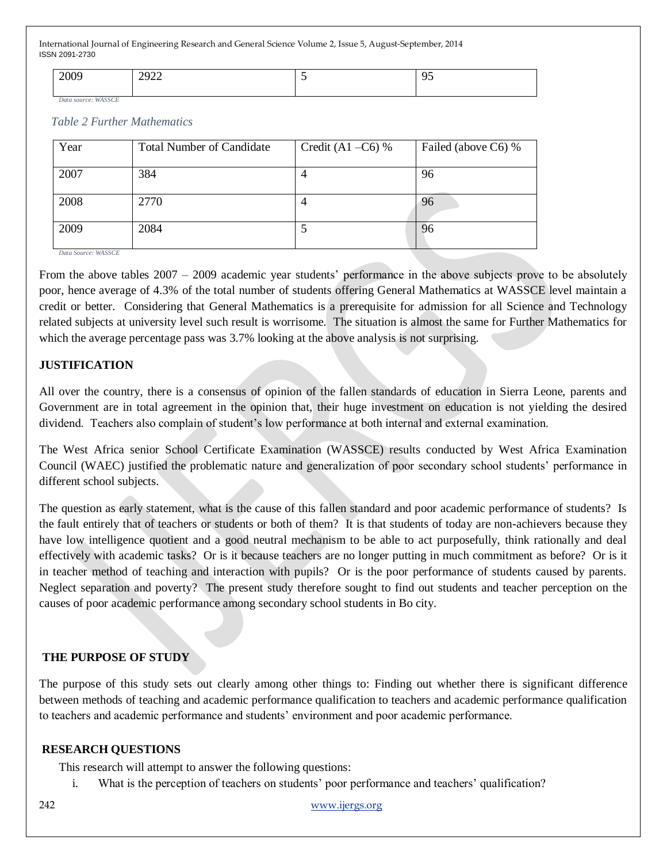| $\sim$ 0.00 | .202 <sup>o</sup>        | - |
|-------------|--------------------------|---|
| 2009        | $\overline{\phantom{a}}$ | . |
|             |                          |   |

*Data source: WASSCE*

#### *Table 2 Further Mathematics*

| Year                                                        | <b>Total Number of Candidate</b> | Credit $(A1 - C6)$ % | Failed (above C6) % |
|-------------------------------------------------------------|----------------------------------|----------------------|---------------------|
| 2007                                                        | 384                              | 4                    | 96                  |
| 2008                                                        | 2770                             | 4                    | 96                  |
| 2009<br>$D_{\text{min}}$ $C_{\text{min}}$ , $W / A C C C F$ | 2084                             |                      | 96                  |

*Data Source: WASSCE*

From the above tables 2007 – 2009 academic year students' performance in the above subjects prove to be absolutely poor, hence average of 4.3% of the total number of students offering General Mathematics at WASSCE level maintain a credit or better. Considering that General Mathematics is a prerequisite for admission for all Science and Technology related subjects at university level such result is worrisome. The situation is almost the same for Further Mathematics for which the average percentage pass was 3.7% looking at the above analysis is not surprising.

### **JUSTIFICATION**

All over the country, there is a consensus of opinion of the fallen standards of education in Sierra Leone, parents and Government are in total agreement in the opinion that, their huge investment on education is not yielding the desired dividend. Teachers also complain of student's low performance at both internal and external examination.

The West Africa senior School Certificate Examination (WASSCE) results conducted by West Africa Examination Council (WAEC) justified the problematic nature and generalization of poor secondary school students' performance in different school subjects.

The question as early statement, what is the cause of this fallen standard and poor academic performance of students? Is the fault entirely that of teachers or students or both of them? It is that students of today are non-achievers because they have low intelligence quotient and a good neutral mechanism to be able to act purposefully, think rationally and deal effectively with academic tasks? Or is it because teachers are no longer putting in much commitment as before? Or is it in teacher method of teaching and interaction with pupils? Or is the poor performance of students caused by parents. Neglect separation and poverty? The present study therefore sought to find out students and teacher perception on the causes of poor academic performance among secondary school students in Bo city.

### **THE PURPOSE OF STUDY**

The purpose of this study sets out clearly among other things to: Finding out whether there is significant difference between methods of teaching and academic performance qualification to teachers and academic performance qualification to teachers and academic performance and students' environment and poor academic performance.

### **RESEARCH QUESTIONS**

This research will attempt to answer the following questions:

i. What is the perception of teachers on students' poor performance and teachers' qualification?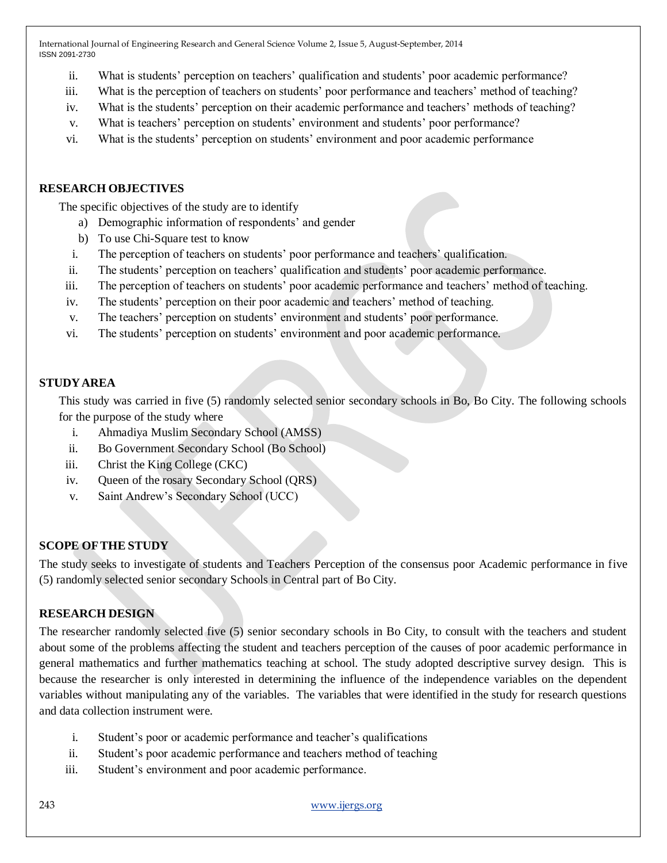- ii. What is students' perception on teachers' qualification and students' poor academic performance?
- iii. What is the perception of teachers on students' poor performance and teachers' method of teaching?
- iv. What is the students' perception on their academic performance and teachers' methods of teaching?
- v. What is teachers' perception on students' environment and students' poor performance?
- vi. What is the students' perception on students' environment and poor academic performance

# **RESEARCH OBJECTIVES**

The specific objectives of the study are to identify

- a) Demographic information of respondents' and gender
- b) To use Chi-Square test to know
- i. The perception of teachers on students' poor performance and teachers' qualification.
- ii. The students' perception on teachers' qualification and students' poor academic performance.
- iii. The perception of teachers on students' poor academic performance and teachers' method of teaching.
- iv. The students' perception on their poor academic and teachers' method of teaching.
- v. The teachers' perception on students' environment and students' poor performance.
- vi. The students' perception on students' environment and poor academic performance.

# **STUDYAREA**

This study was carried in five (5) randomly selected senior secondary schools in Bo, Bo City. The following schools for the purpose of the study where

- i. Ahmadiya Muslim Secondary School (AMSS)
- ii. Bo Government Secondary School (Bo School)
- iii. Christ the King College (CKC)
- iv. Queen of the rosary Secondary School (QRS)
- v. Saint Andrew's Secondary School (UCC)

# **SCOPE OFTHE STUDY**

The study seeks to investigate of students and Teachers Perception of the consensus poor Academic performance in five (5) randomly selected senior secondary Schools in Central part of Bo City.

# **RESEARCH DESIGN**

The researcher randomly selected five (5) senior secondary schools in Bo City, to consult with the teachers and student about some of the problems affecting the student and teachers perception of the causes of poor academic performance in general mathematics and further mathematics teaching at school. The study adopted descriptive survey design. This is because the researcher is only interested in determining the influence of the independence variables on the dependent variables without manipulating any of the variables. The variables that were identified in the study for research questions and data collection instrument were.

- i. Student's poor or academic performance and teacher's qualifications
- ii. Student's poor academic performance and teachers method of teaching
- iii. Student's environment and poor academic performance.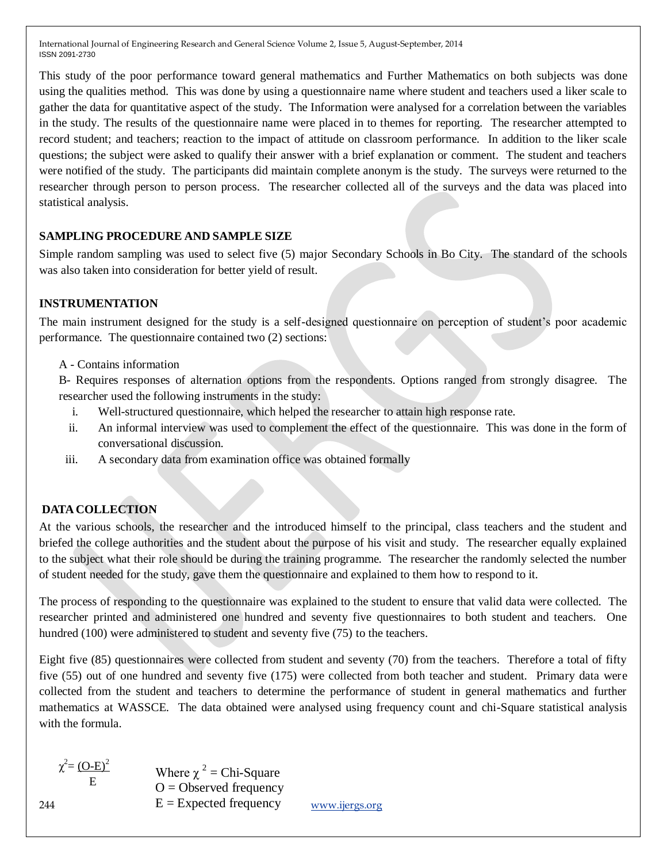This study of the poor performance toward general mathematics and Further Mathematics on both subjects was done using the qualities method. This was done by using a questionnaire name where student and teachers used a liker scale to gather the data for quantitative aspect of the study. The Information were analysed for a correlation between the variables in the study. The results of the questionnaire name were placed in to themes for reporting. The researcher attempted to record student; and teachers; reaction to the impact of attitude on classroom performance. In addition to the liker scale questions; the subject were asked to qualify their answer with a brief explanation or comment. The student and teachers were notified of the study. The participants did maintain complete anonym is the study. The surveys were returned to the researcher through person to person process. The researcher collected all of the surveys and the data was placed into statistical analysis.

# **SAMPLING PROCEDURE AND SAMPLE SIZE**

Simple random sampling was used to select five (5) major Secondary Schools in Bo City. The standard of the schools was also taken into consideration for better yield of result.

### **INSTRUMENTATION**

The main instrument designed for the study is a self-designed questionnaire on perception of student's poor academic performance. The questionnaire contained two (2) sections:

### A - Contains information

B- Requires responses of alternation options from the respondents. Options ranged from strongly disagree. The researcher used the following instruments in the study:

- i. Well-structured questionnaire, which helped the researcher to attain high response rate.
- ii. An informal interview was used to complement the effect of the questionnaire. This was done in the form of conversational discussion.
- iii. A secondary data from examination office was obtained formally

# **DATA COLLECTION**

At the various schools, the researcher and the introduced himself to the principal, class teachers and the student and briefed the college authorities and the student about the purpose of his visit and study. The researcher equally explained to the subject what their role should be during the training programme. The researcher the randomly selected the number of student needed for the study, gave them the questionnaire and explained to them how to respond to it.

The process of responding to the questionnaire was explained to the student to ensure that valid data were collected. The researcher printed and administered one hundred and seventy five questionnaires to both student and teachers. One hundred (100) were administered to student and seventy five (75) to the teachers.

Eight five (85) questionnaires were collected from student and seventy (70) from the teachers. Therefore a total of fifty five (55) out of one hundred and seventy five (175) were collected from both teacher and student. Primary data were collected from the student and teachers to determine the performance of student in general mathematics and further mathematics at WASSCE. The data obtained were analysed using frequency count and chi-Square statistical analysis with the formula.

 $\chi^2 = (O-E)^2$ E

 $244$  E = Expected frequency  $\frac{www.jjergs.org}{www.jgsgs.org}$ Where  $\chi^2$  = Chi-Square  $O = Observed frequency$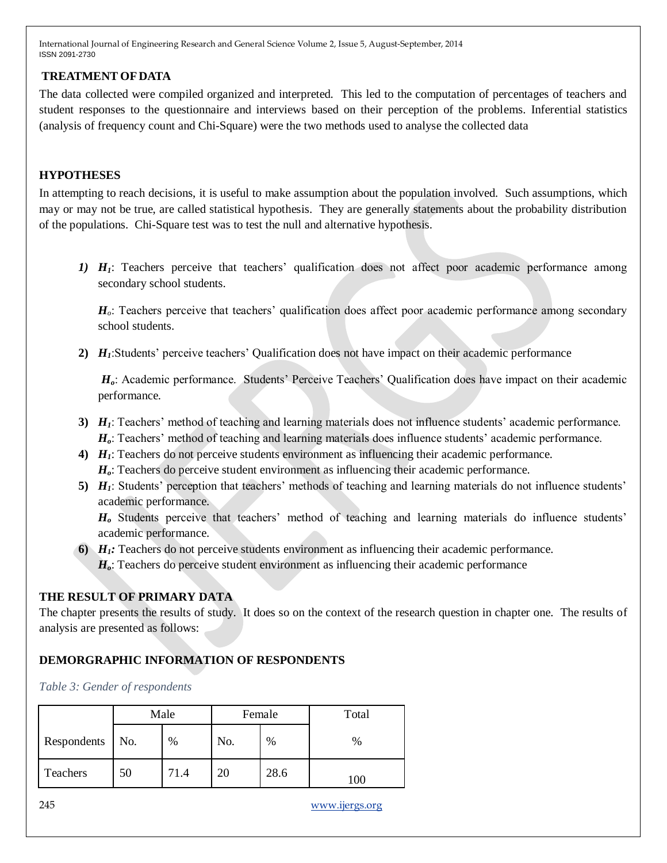### **TREATMENT OF DATA**

The data collected were compiled organized and interpreted. This led to the computation of percentages of teachers and student responses to the questionnaire and interviews based on their perception of the problems. Inferential statistics (analysis of frequency count and Chi-Square) were the two methods used to analyse the collected data

### **HYPOTHESES**

In attempting to reach decisions, it is useful to make assumption about the population involved. Such assumptions, which may or may not be true, are called statistical hypothesis. They are generally statements about the probability distribution of the populations. Chi-Square test was to test the null and alternative hypothesis.

*1) H1*: Teachers perceive that teachers' qualification does not affect poor academic performance among secondary school students.

*H<sub>o</sub>*: Teachers perceive that teachers' qualification does affect poor academic performance among secondary school students.

**2)** *H1*:Students' perceive teachers' Qualification does not have impact on their academic performance

*Ho*: Academic performance. Students' Perceive Teachers' Qualification does have impact on their academic performance.

- **3)** *H1*: Teachers' method of teaching and learning materials does not influence students' academic performance. *Ho*: Teachers' method of teaching and learning materials does influence students' academic performance.
- **4)** *H1*: Teachers do not perceive students environment as influencing their academic performance. *Ho*: Teachers do perceive student environment as influencing their academic performance.
- **5)** *H1*: Students' perception that teachers' methods of teaching and learning materials do not influence students' academic performance.

*H<sup>o</sup>* Students perceive that teachers' method of teaching and learning materials do influence students' academic performance.

- **6)** *H1:* Teachers do not perceive students environment as influencing their academic performance.
	- *Ho*: Teachers do perceive student environment as influencing their academic performance

# **THE RESULT OF PRIMARY DATA**

The chapter presents the results of study. It does so on the context of the research question in chapter one. The results of analysis are presented as follows:

# **DEMORGRAPHIC INFORMATION OF RESPONDENTS**

*Table 3: Gender of respondents*

|             |     | Male |          | Female | Total |  |  |
|-------------|-----|------|----------|--------|-------|--|--|
| Respondents | No. | $\%$ | No.<br>% |        | $\%$  |  |  |
| Teachers    | 50  | 71.4 | 20       | 28.6   | .00   |  |  |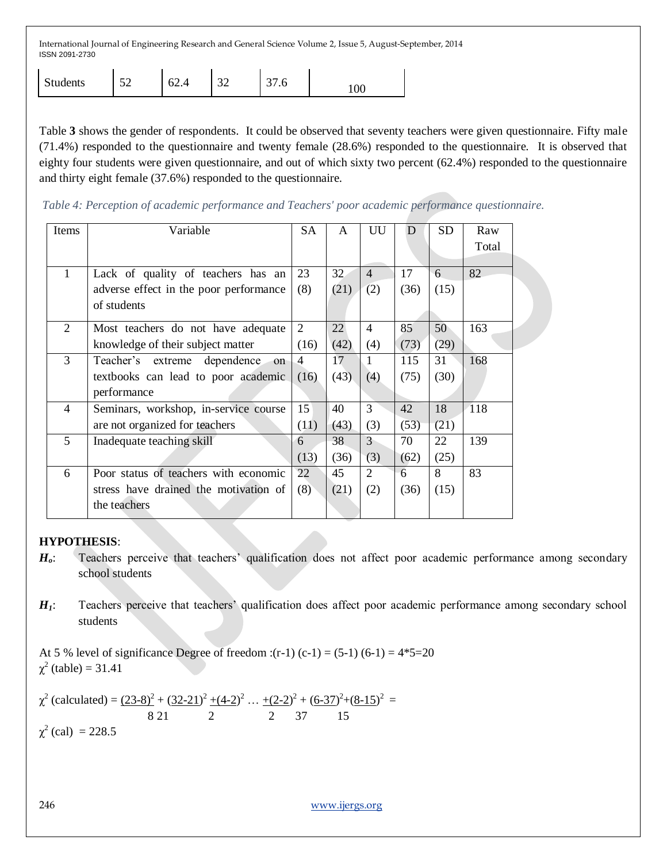| <b>Students</b> | $\sim$<br>◡∸ | h<br>∪∠.− | $\sim$<br>ىدر | $\sim$<br>J I .U | 100 |
|-----------------|--------------|-----------|---------------|------------------|-----|
|-----------------|--------------|-----------|---------------|------------------|-----|

Table **3** shows the gender of respondents. It could be observed that seventy teachers were given questionnaire. Fifty male (71.4%) responded to the questionnaire and twenty female (28.6%) responded to the questionnaire. It is observed that eighty four students were given questionnaire, and out of which sixty two percent (62.4%) responded to the questionnaire and thirty eight female (37.6%) responded to the questionnaire.

*Table 4: Perception of academic performance and Teachers' poor academic performance questionnaire.*

| Items          | Variable                               | SА             | A               | UU             | D    | <b>SD</b> | Raw   |
|----------------|----------------------------------------|----------------|-----------------|----------------|------|-----------|-------|
|                |                                        |                |                 |                |      |           | Total |
|                |                                        |                |                 |                |      |           |       |
| $\mathbf{1}$   | Lack of quality of teachers has an     | 23             | 32 <sub>1</sub> | $\overline{4}$ | 17   | 6         | 82    |
|                | adverse effect in the poor performance | (8)            | (21)            | (2)            | (36) | (15)      |       |
|                | of students                            |                |                 |                |      |           |       |
| 2              | Most teachers do not have adequate     | 2              | 22              | $\overline{4}$ | 85   | 50        | 163   |
|                | knowledge of their subject matter      | (16)           | (42)            | (4)            | (73) | (29)      |       |
| 3              | Teacher's extreme dependence<br>on     | $\overline{4}$ | 17              | 1              | 115  | 31        | 168   |
|                | textbooks can lead to poor academic    | (16)           | (43)            | (4)            | (75) | (30)      |       |
|                | performance                            |                |                 |                |      |           |       |
| $\overline{4}$ | Seminars, workshop, in-service course  | 15             | 40              | 3              | 42   | 18        | 118   |
|                | are not organized for teachers         | (11)           | (43)            | (3)            | (53) | (21)      |       |
| 5              | Inadequate teaching skill              | 6              | 38              | $\overline{3}$ | 70   | 22        | 139   |
|                |                                        | (13)           | (36)            | (3)            | (62) | (25)      |       |
| 6              | Poor status of teachers with economic  | 22             | 45              | $\mathfrak{D}$ | 6    | 8         | 83    |
|                | stress have drained the motivation of  | (8)            | (21)            | (2)            | (36) | (15)      |       |
|                | the teachers                           |                |                 |                |      |           |       |
|                |                                        |                |                 |                |      |           |       |

### **HYPOTHESIS**:

- *Ho*: Teachers perceive that teachers' qualification does not affect poor academic performance among secondary school students
- *H1*: Teachers perceive that teachers' qualification does affect poor academic performance among secondary school students

At 5 % level of significance Degree of freedom :(r-1) (c-1) =  $(5-1)$  (6-1) =  $4*5=20$  $\chi^2$  (table) = 31.41

 $\chi^2$  (calculated) = <u>(23-8)<sup>2</sup></u> + (32-21)<sup>2</sup> + (4-2)<sup>2</sup> ... + (2-2)<sup>2</sup> + (6-37)<sup>2</sup> + (8-15)<sup>2</sup> = 8 21 2 2 37 15

 $\chi^2$  (cal) = 228.5

246 [www.ijergs.org](http://www.ijergs.org/)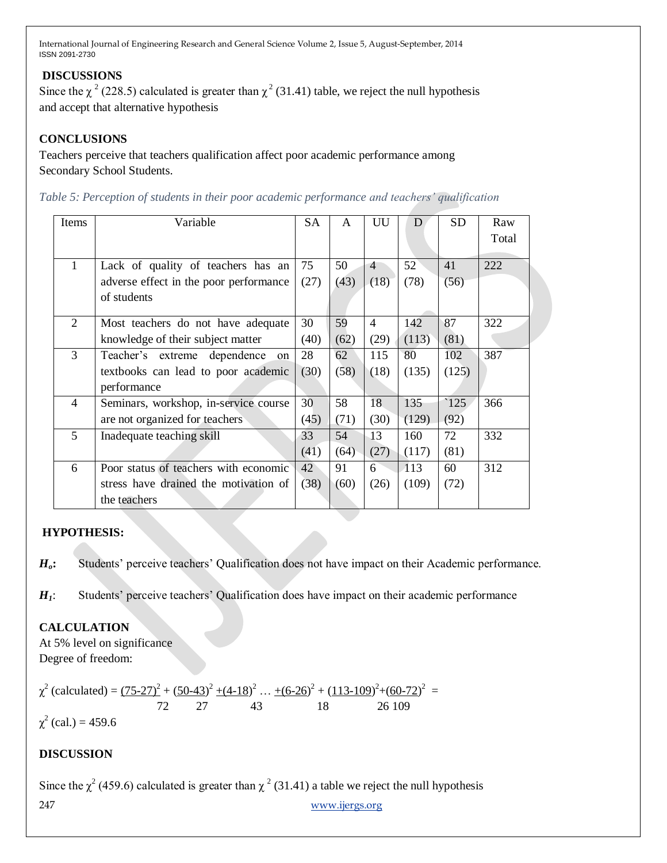# **DISCUSSIONS**

Since the  $\chi^2$  (228.5) calculated is greater than  $\chi^2$  (31.41) table, we reject the null hypothesis and accept that alternative hypothesis

# **CONCLUSIONS**

Teachers perceive that teachers qualification affect poor academic performance among Secondary School Students.

|  | Table 5: Perception of students in their poor academic performance and teachers' qualification |  |
|--|------------------------------------------------------------------------------------------------|--|
|  |                                                                                                |  |

| Items          | Variable                               | <b>SA</b> | A    | UU             | D            | <b>SD</b> | Raw   |
|----------------|----------------------------------------|-----------|------|----------------|--------------|-----------|-------|
|                |                                        |           |      |                |              |           | Total |
|                |                                        |           |      |                |              |           |       |
| $\mathbf{1}$   | Lack of quality of teachers has an     | 75        | 50   | $\overline{4}$ | $52^{\circ}$ | 41        | 222   |
|                | adverse effect in the poor performance | (27)      | (43) | (18)           | (78)         | (56)      |       |
|                | of students                            |           |      |                |              |           |       |
|                |                                        |           |      |                |              |           |       |
| 2              | Most teachers do not have adequate     | 30        | 59   | $\overline{4}$ | 142          | 87        | 322   |
|                | knowledge of their subject matter      | (40)      | (62) | (29)           | (113)        | (81)      |       |
| 3              | Teacher's extreme dependence<br>on     | 28        | 62   | 115            | 80           | 102       | 387   |
|                | textbooks can lead to poor academic    | (30)      | (58) | (18)           | (135)        | (125)     |       |
|                | performance                            |           |      |                |              |           |       |
| $\overline{4}$ | Seminars, workshop, in-service course  | 30        | 58   | 18             | 135          | ` $125$   | 366   |
|                | are not organized for teachers         | (45)      | (71) | (30)           | (129)        | (92)      |       |
| 5              | Inadequate teaching skill              | 33        | 54   | 13             | 160          | 72        | 332   |
|                |                                        | (41)      | (64) | (27)           | (117)        | (81)      |       |
| 6              | Poor status of teachers with economic  | 42        | 91   | 6              | 113          | 60        | 312   |
|                | stress have drained the motivation of  | (38)      | (60) | (26)           | (109)        | (72)      |       |
|                | the teachers                           |           |      |                |              |           |       |

### **HYPOTHESIS:**

*Ho***:** Students' perceive teachers' Qualification does not have impact on their Academic performance.

*H<sub>1</sub>*: Students' perceive teachers' Qualification does have impact on their academic performance

# **CALCULATION**

At 5% level on significance Degree of freedom:

$$
\chi^2 \text{ (calculated)} = \frac{(75-27)^2 + (50-43)^2 + (4-18)^2 \dots + (6-26)^2 + (113-109)^2 + (60-72)^2}{72} =
$$
  
 
$$
\chi^2 \text{ (cal.)} = 459.6
$$

# **DISCUSSION**

247 [www.ijergs.org](http://www.ijergs.org/) Since the  $\chi^2$  (459.6) calculated is greater than  $\chi^2$  (31.41) a table we reject the null hypothesis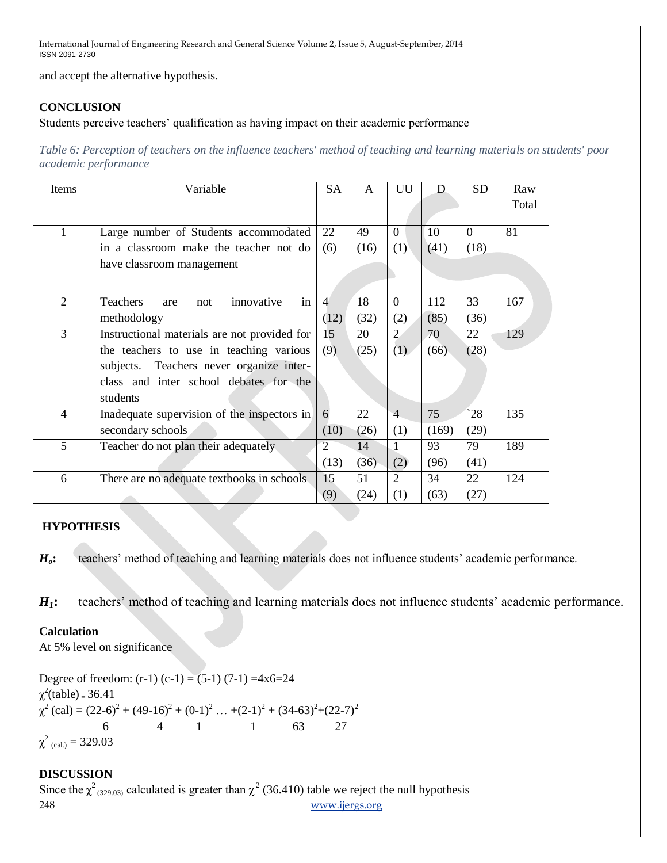and accept the alternative hypothesis.

# **CONCLUSION**

Students perceive teachers' qualification as having impact on their academic performance

*Table 6: Perception of teachers on the influence teachers' method of teaching and learning materials on students' poor academic performance*

| Items          | Variable                                     | <b>SA</b>      | A    | UU             | D     | <b>SD</b>    | Raw<br>Total |
|----------------|----------------------------------------------|----------------|------|----------------|-------|--------------|--------------|
| 1              | Large number of Students accommodated        | 22             | 49   | $\Omega$       | 10    | $\Omega$     | 81           |
|                | in a classroom make the teacher not do       | (6)            | (16) | (1)            | (41)  | (18)         |              |
|                | have classroom management                    |                |      |                |       |              |              |
|                |                                              |                |      |                |       |              |              |
| 2              | Teachers<br>in<br>innovative<br>not<br>are   | $\overline{4}$ | 18   | $\theta$       | 112   | 33           | 167          |
|                | methodology                                  | (12)           | (32) | (2)            | (85)  | (36)         |              |
| 3              | Instructional materials are not provided for | 15             | 20   | $\overline{2}$ | 70    | 22           | 129          |
|                | the teachers to use in teaching various      | (9)            | (25) | (1)            | (66)  | (28)         |              |
|                | subjects. Teachers never organize inter-     |                |      |                |       |              |              |
|                | class and inter school debates for the       |                |      |                |       |              |              |
|                | students                                     |                |      |                |       |              |              |
| $\overline{4}$ | Inadequate supervision of the inspectors in  | 6              | 22   | $\overline{4}$ | 75    | $^{\circ}28$ | 135          |
|                | secondary schools                            | (10)           | (26) | (1)            | (169) | (29)         |              |
| 5              | Teacher do not plan their adequately         | $\overline{2}$ | 14   |                | 93    | 79           | 189          |
|                |                                              | (13)           | (36) | (2)            | (96)  | (41)         |              |
| 6              | There are no adequate textbooks in schools   | 15             | 51   | $\overline{2}$ | 34    | 22           | 124          |
|                |                                              | (9)            | (24) | (1)            | (63)  | (27)         |              |

# **HYPOTHESIS**

*Ho***:** teachers' method of teaching and learning materials does not influence students' academic performance.

*H1***:** teachers' method of teaching and learning materials does not influence students' academic performance.

# **Calculation**

At 5% level on significance

Degree of freedom:  $(r-1)$   $(c-1) = (5-1)$   $(7-1) = 4x6=24$  $\chi^2$ (table) = 36.41  $\chi^2$  (cal) =  $(22-6)^2 + (49-16)^2 + (0-1)^2 + (2-1)^2 + (34-63)^2 + (22-7)^2$  6 4 1 1 63 27  $\chi^2$  (cal.) = 329.03

# **DISCUSSION**

248 [www.ijergs.org](http://www.ijergs.org/) Since the  $\chi^2$ <sub>(329.03)</sub> calculated is greater than  $\chi^2$  (36.410) table we reject the null hypothesis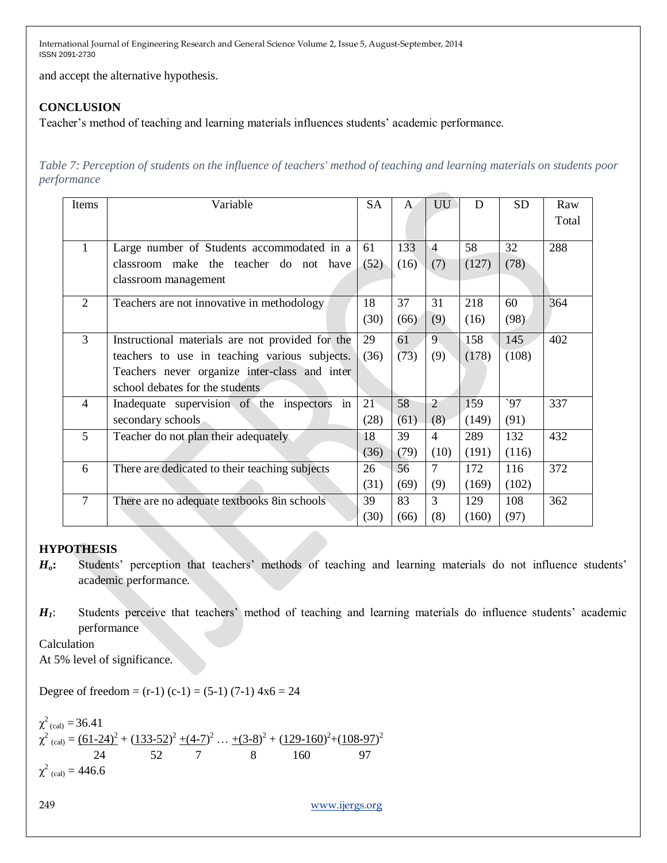and accept the alternative hypothesis.

# **CONCLUSION**

Teacher's method of teaching and learning materials influences students' academic performance.

*Table 7: Perception of students on the influence of teachers' method of teaching and learning materials on students poor performance*

| Items          | Variable                                         | SA   | $\mathsf{A}$ | UU             | D     | <b>SD</b> | Raw   |
|----------------|--------------------------------------------------|------|--------------|----------------|-------|-----------|-------|
|                |                                                  |      |              |                |       |           | Total |
|                |                                                  |      |              |                |       |           |       |
| $\mathbf{1}$   | Large number of Students accommodated in a       | 61   | 133          | $\overline{4}$ | 58    | 32        | 288   |
|                | classroom make the teacher do not have           | (52) | (16)         | (7)            | (127) | (78)      |       |
|                | classroom management                             |      |              |                |       |           |       |
| $\overline{2}$ | Teachers are not innovative in methodology       | 18   | 37           | 31             | 218   | 60        | 364   |
|                |                                                  | (30) | (66)         | (9)            | (16)  | (98)      |       |
| 3              | Instructional materials are not provided for the | 29   | 61           | 9              | 158   | 145       | 402   |
|                | teachers to use in teaching various subjects.    | (36) | (73)         | (9)            | (178) | (108)     |       |
|                | Teachers never organize inter-class and inter    |      |              |                |       |           |       |
|                | school debates for the students                  |      |              |                |       |           |       |
| $\overline{4}$ | Inadequate supervision of the inspectors<br>in   | 21   | 58           | $\overline{2}$ | 159   | 97        | 337   |
|                | secondary schools                                | (28) | (61)         | (8)            | (149) | (91)      |       |
| 5              | Teacher do not plan their adequately             | 18   | 39           | $\overline{4}$ | 289   | 132       | 432   |
|                |                                                  | (36) | (79)         | (10)           | (191) | (116)     |       |
| 6              | There are dedicated to their teaching subjects   | 26   | 56           | 7              | 172   | 116       | 372   |
|                |                                                  | (31) | (69)         | (9)            | (169) | (102)     |       |
| $\overline{7}$ | There are no adequate textbooks 8in schools      | 39   | 83           | 3              | 129   | 108       | 362   |
|                |                                                  | (30) | (66)         | (8)            | (160) | (97)      |       |

### **HYPOTHESIS**

*Ho***:** Students' perception that teachers' methods of teaching and learning materials do not influence students' academic performance.

*H1*: Students perceive that teachers' method of teaching and learning materials do influence students' academic performance

Calculation

At 5% level of significance.

Degree of freedom =  $(r-1)$   $(c-1)$  =  $(5-1)$   $(7-1)$   $4x6 = 24$ 

$$
\begin{aligned}\n\chi^2_{\text{(cal)}} &= 36.41 \\
\chi^2_{\text{(cal)}} &= \frac{(61-24)^2}{24} + \frac{(133-52)^2 + (4-7)^2}{52} \dots + \frac{(3-8)^2 + (129-160)^2 + (108-97)^2}{8} \\
\chi^2_{\text{(cal)}} &= 446.6\n\end{aligned}
$$

249 [www.ijergs.org](http://www.ijergs.org/)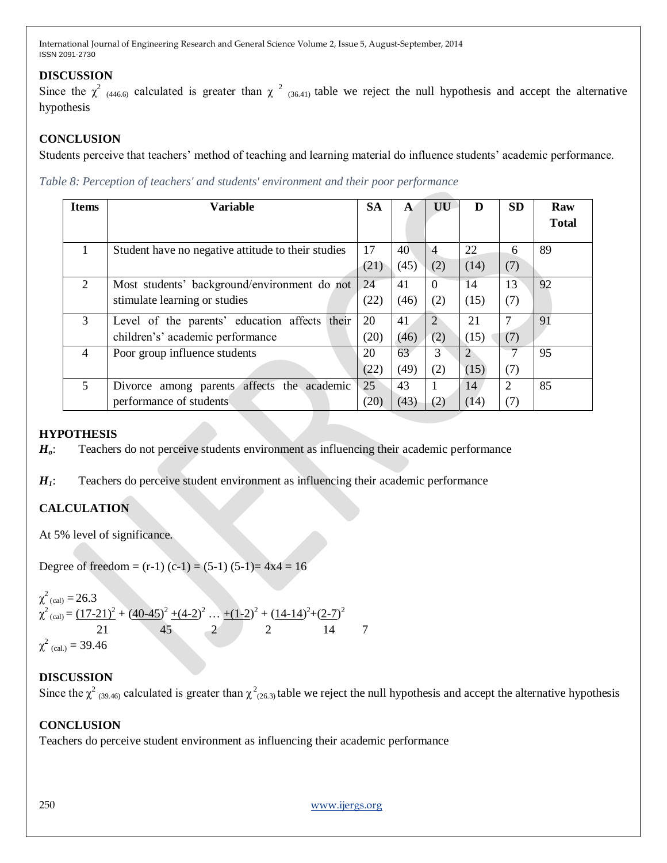### **DISCUSSION**

Since the  $\chi^2$  (446.6) calculated is greater than  $\chi^2$  (36.41) table we reject the null hypothesis and accept the alternative hypothesis

### **CONCLUSION**

Students perceive that teachers' method of teaching and learning material do influence students' academic performance.

*Table 8: Perception of teachers' and students' environment and their poor performance*

| <b>Items</b> | Variable                                           | <b>SA</b> | A    | UU             | D              | <b>SD</b> | Raw          |
|--------------|----------------------------------------------------|-----------|------|----------------|----------------|-----------|--------------|
|              |                                                    |           |      |                |                |           | <b>Total</b> |
|              | Student have no negative attitude to their studies | 17        | 40   | $\overline{4}$ | 22             | 6         | 89           |
|              |                                                    | (21)      | (45) | (2)            | (14)           | (7)       |              |
| 2            | Most students' background/environment do not       | 24        | 41   | $\Omega$       | 14             | 13        | 92           |
|              | stimulate learning or studies                      | (22)      | (46) | (2)            | (15)           | (7)       |              |
| 3            | Level of the parents' education affects their      | 20        | 41   | 2              | 21             |           | 91           |
|              | children's' academic performance                   | (20)      | (46) | (2)            | (15)           | (7)       |              |
| 4            | Poor group influence students                      | 20        | 63   | 3              | $\overline{2}$ |           | 95           |
|              |                                                    | (22)      | (49) | (2)            | (15)           | (7)       |              |
| 5            | affects the academic<br>Divorce among parents      | 25        | 43   |                | 14             |           | 85           |
|              | performance of students                            | (20)      | (43) | (2)            | (14)           | (7)       |              |

### **HYPOTHESIS**

*Ho*: Teachers do not perceive students environment as influencing their academic performance

*H1*: Teachers do perceive student environment as influencing their academic performance

# **CALCULATION**

At 5% level of significance.

Degree of freedom =  $(r-1)$   $(c-1)$  =  $(5-1)$   $(5-1)$  =  $4x4 = 16$ 

 $\chi^2$ <sub>(cal)</sub> = 26.3  $\chi^2$ <sub>(cal)</sub> =  $(17-21)^2 + (40-45)^2 + (4-2)^2 + (1-2)^2 + (14-14)^2 + (2-7)^2$  21 45 2 2 14 7  $\chi^2$  (cal.) = 39.46

### **DISCUSSION**

Since the  $\chi^2$  <sub>(39.46)</sub> calculated is greater than  $\chi^2$ <sub>(26.3)</sub> table we reject the null hypothesis and accept the alternative hypothesis

### **CONCLUSION**

Teachers do perceive student environment as influencing their academic performance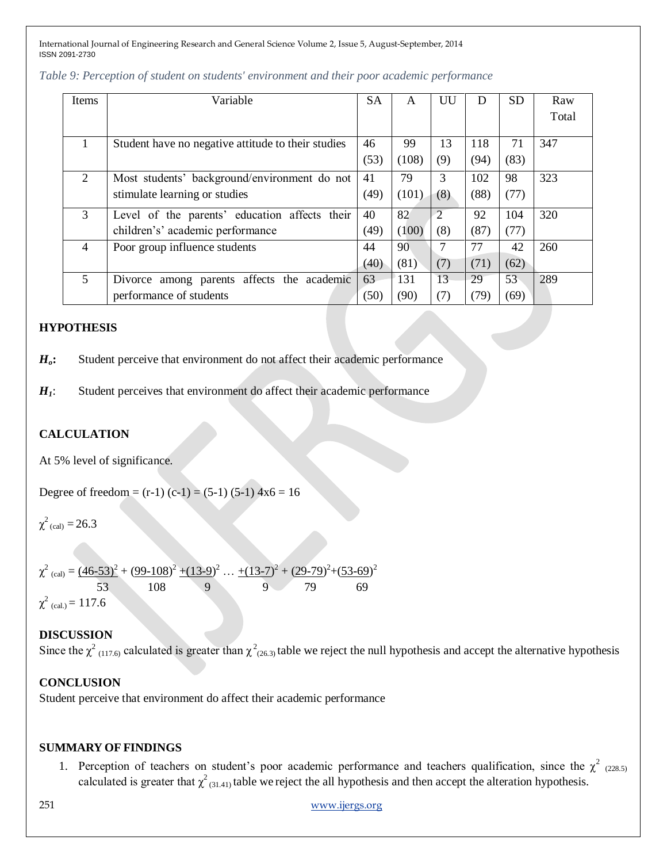| Items          | Variable                                           | <b>SA</b> | A     | UU             | I)   | <b>SD</b> | Raw   |
|----------------|----------------------------------------------------|-----------|-------|----------------|------|-----------|-------|
|                |                                                    |           |       |                |      |           | Total |
|                |                                                    |           |       |                |      |           |       |
|                | Student have no negative attitude to their studies | 46        | 99    | 13             | 118  | 71        | 347   |
|                |                                                    | (53)      | (108) | (9)            | (94) | (83)      |       |
| 2              | Most students' background/environment do not       | 41        | 79    | 3              | 102  | 98        | 323   |
|                | stimulate learning or studies                      | (49)      | (101) | (8)            | (88) | (77)      |       |
| 3              | Level of the parents' education affects their      | 40        | 82    | $\overline{2}$ | 92   | 104       | 320   |
|                | children's' academic performance                   | (49)      | (100) | (8)            | (87) | (77)      |       |
| $\overline{4}$ | Poor group influence students                      | 44        | 90    | 7              | 77   | 42        | 260   |
|                |                                                    | (40)      | (81)  | (7)            | (71) | (62)      |       |
| 5              | Divorce among parents affects<br>the<br>academic   | 63        | 131   | 13             | 29   | 53        | 289   |
|                | performance of students                            | (50)      | (90)  | (7)            | (79) | (69)      |       |

### *Table 9: Perception of student on students' environment and their poor academic performance*

### **HYPOTHESIS**

*Ho***:** Student perceive that environment do not affect their academic performance

*H1*: Student perceives that environment do affect their academic performance

### **CALCULATION**

At 5% level of significance.

Degree of freedom =  $(r-1)$   $(c-1)$  =  $(5-1)$   $(5-1)$   $4x6 = 16$ 

 $\chi^2$ <sub>(cal)</sub> = 26.3

$$
\chi^2_{\text{(cal)}} = \frac{(46-53)^2 + (99-108)^2 + (13-9)^2 + \dots + (13-7)^2 + (29-79)^2 + (53-69)^2}{53}
$$
\n
$$
= \frac{53}{115} = 115
$$

 $\chi^2$  (cal.) = 117.6

#### **DISCUSSION**

Since the  $\chi^2$  (117.6) calculated is greater than  $\chi^2$  (26.3) table we reject the null hypothesis and accept the alternative hypothesis

#### **CONCLUSION**

Student perceive that environment do affect their academic performance

#### **SUMMARY OF FINDINGS**

1. Perception of teachers on student's poor academic performance and teachers qualification, since the  $\chi^2$  (228.5) calculated is greater that  $\chi^2_{(31.41)}$  table we reject the all hypothesis and then accept the alteration hypothesis.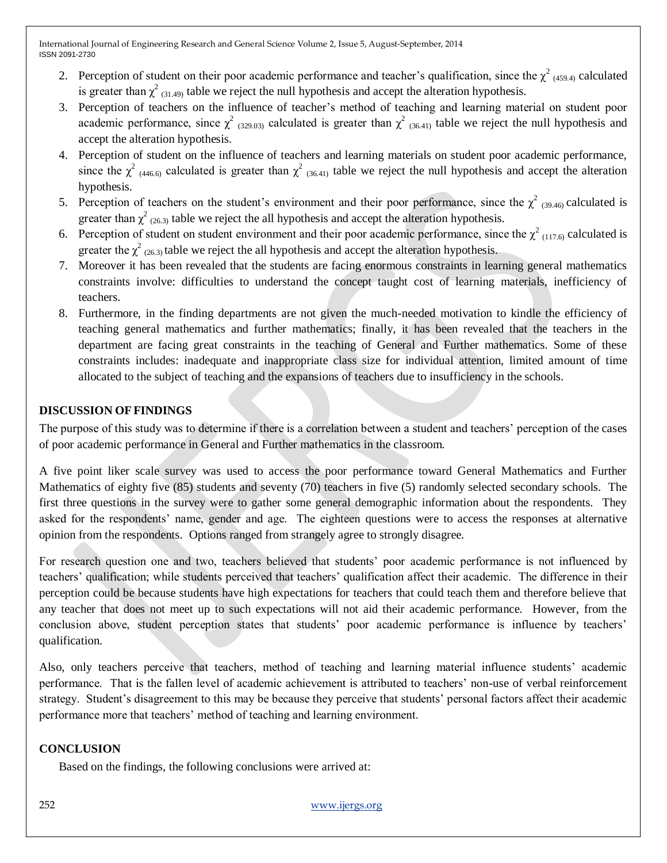- 2. Perception of student on their poor academic performance and teacher's qualification, since the  $\chi^2$  (459.4) calculated is greater than  $\chi^2$  (31.49) table we reject the null hypothesis and accept the alteration hypothesis.
- 3. Perception of teachers on the influence of teacher's method of teaching and learning material on student poor academic performance, since  $\chi^2$  (329.03) calculated is greater than  $\chi^2$  (36.41) table we reject the null hypothesis and accept the alteration hypothesis.
- 4. Perception of student on the influence of teachers and learning materials on student poor academic performance, since the  $\chi^2$  (446.6) calculated is greater than  $\chi^2$  (36.41) table we reject the null hypothesis and accept the alteration hypothesis.
- 5. Perception of teachers on the student's environment and their poor performance, since the  $\chi^2$  (39.46) calculated is greater than  $\chi^2$  (26.3) table we reject the all hypothesis and accept the alteration hypothesis.
- 6. Perception of student on student environment and their poor academic performance, since the  $\chi^2$  (117.6) calculated is greater the  $\chi^2$  (26.3) table we reject the all hypothesis and accept the alteration hypothesis.
- 7. Moreover it has been revealed that the students are facing enormous constraints in learning general mathematics constraints involve: difficulties to understand the concept taught cost of learning materials, inefficiency of teachers.
- 8. Furthermore, in the finding departments are not given the much-needed motivation to kindle the efficiency of teaching general mathematics and further mathematics; finally, it has been revealed that the teachers in the department are facing great constraints in the teaching of General and Further mathematics. Some of these constraints includes: inadequate and inappropriate class size for individual attention, limited amount of time allocated to the subject of teaching and the expansions of teachers due to insufficiency in the schools.

# **DISCUSSION OFFINDINGS**

The purpose of this study was to determine if there is a correlation between a student and teachers' perception of the cases of poor academic performance in General and Further mathematics in the classroom.

A five point liker scale survey was used to access the poor performance toward General Mathematics and Further Mathematics of eighty five (85) students and seventy (70) teachers in five (5) randomly selected secondary schools. The first three questions in the survey were to gather some general demographic information about the respondents. They asked for the respondents' name, gender and age. The eighteen questions were to access the responses at alternative opinion from the respondents. Options ranged from strangely agree to strongly disagree.

For research question one and two, teachers believed that students' poor academic performance is not influenced by teachers' qualification; while students perceived that teachers' qualification affect their academic. The difference in their perception could be because students have high expectations for teachers that could teach them and therefore believe that any teacher that does not meet up to such expectations will not aid their academic performance. However, from the conclusion above, student perception states that students' poor academic performance is influence by teachers' qualification.

Also, only teachers perceive that teachers, method of teaching and learning material influence students' academic performance. That is the fallen level of academic achievement is attributed to teachers' non-use of verbal reinforcement strategy. Student's disagreement to this may be because they perceive that students' personal factors affect their academic performance more that teachers' method of teaching and learning environment.

### **CONCLUSION**

Based on the findings, the following conclusions were arrived at: